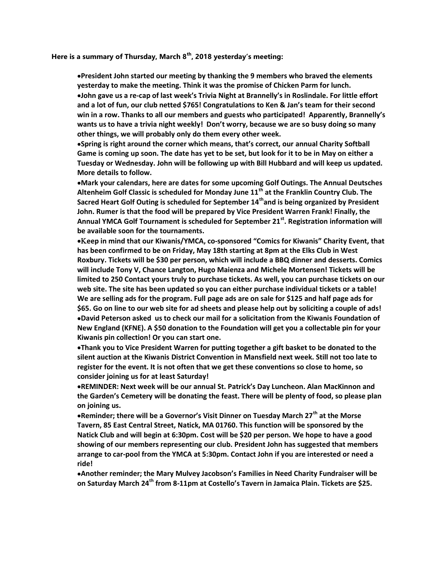Here is a summary of Thursday, March  $8<sup>th</sup>$ , 2018 yesterday's meeting:

President John started our meeting by thanking the 9 members who braved the elements yesterday to make the meeting. Think it was the promise of Chicken Parm for lunch. John gave us a re-cap of last week's Trivia Night at Brannelly's in Roslindale. For little effort and a lot of fun, our club netted \$765! Congratulations to Ken & Jan's team for their second win in a row. Thanks to all our members and guests who participated! Apparently, Brannelly's wants us to have a trivia night weekly! Don't worry, because we are so busy doing so many other things, we will probably only do them every other week.

Spring is right around the corner which means, that's correct, our annual Charity Softball Game is coming up soon. The date has yet to be set, but look for it to be in May on either a Tuesday or Wednesday. John will be following up with Bill Hubbard and will keep us updated. More details to follow.

Mark your calendars, here are dates for some upcoming Golf Outings. The Annual Deutsches Altenheim Golf Classic is scheduled for Monday June  $11<sup>th</sup>$  at the Franklin Country Club. The Sacred Heart Golf Outing is scheduled for September  $14<sup>th</sup>$  and is being organized by President John. Rumer is that the food will be prepared by Vice President Warren Frank! Finally, the Annual YMCA Golf Tournament is scheduled for September 21<sup>st</sup>. Registration information will be available soon for the tournaments.

eep in mind that our Kiwanis/YMCA, co-sponsored "Comics for Kiwanis" Charity Event, that has been confirmed to be on Friday, May 18th starting at 8pm at the Elks Club in West Roxbury. Tickets will be \$30 per person, which will include a BBQ dinner and desserts. Comics will include Tony V, Chance Langton, Hugo Maienza and Michele Mortensen! Tickets will be limited to 250 Contact yours truly to purchase tickets. As well, you can purchase tickets on our web site. The site has been updated so you can either purchase individual tickets or a table! We are selling ads for the program. Full page ads are on sale for \$125 and half page ads for \$65. Go on line to our web site for ad sheets and please help out by soliciting a couple of ads! David Peterson asked us to check our mail for a solicitation from the Kiwanis Foundation of New England (KFNE). A \$50 donation to the Foundation will get you a collectable pin for your Kiwanis pin collection! Or you can start one.

Thank you to Vice President Warren for putting together a gift basket to be donated to the silent auction at the Kiwanis District Convention in Mansfield next week. Still not too late to register for the event. It is not often that we get these conventions so close to home, so consider joining us for at least Saturday!

REMINDER: Next week will be our annual St. Patrick's Day Luncheon. Alan MacKinnon and the Garden's Cemetery will be donating the feast. There will be plenty of food, so please plan on joining us.

**• Reminder; there will be a Governor's Visit Dinner on Tuesday March 27<sup>th</sup> at the Morse** Tavern, 85 East Central Street, Natick, MA 01760. This function will be sponsored by the Natick Club and will begin at 6:30pm. Cost will be \$20 per person. We hope to have a good showing of our members representing our club. President John has suggested that members arrange to car-pool from the YMCA at 5:30pm. Contact John if you are interested or need a ride!

Another reminder; the Mary Mulvey Jacobson's Families in Need Charity Fundraiser will be on Saturday March 24<sup>th</sup> from 8-11pm at Costello's Tavern in Jamaica Plain. Tickets are \$25.